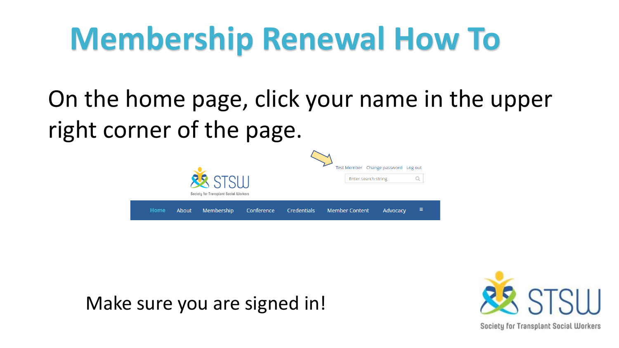## **Membership Renewal How To**

On the home page, click your name in the upper right corner of the page.



Make sure you are signed in!



Society for Transplant Social Workers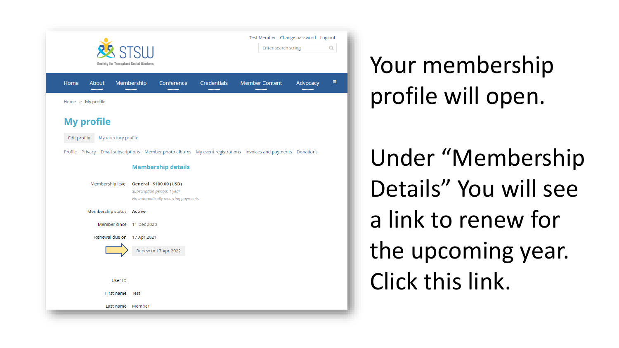

Your membership profile will open.

Under "Membership Details" You will see a link to renew for the upcoming year. Click this link.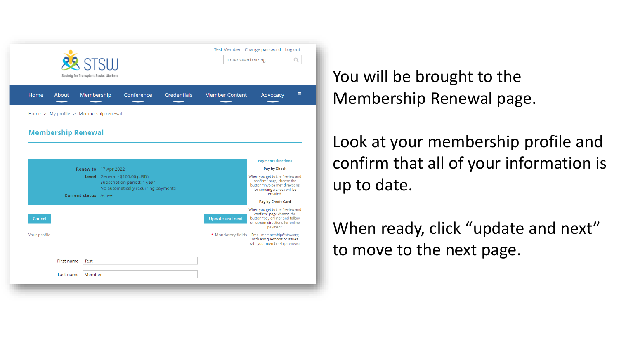|                                        | <b>RA</b> STSITI<br>Society for Transplant Social Workers             |                                                                    |                    | Enter search string    | Q                                                                                                                                            |
|----------------------------------------|-----------------------------------------------------------------------|--------------------------------------------------------------------|--------------------|------------------------|----------------------------------------------------------------------------------------------------------------------------------------------|
| Home<br>About                          | Membership                                                            | Conference                                                         | <b>Credentials</b> | <b>Member Content</b>  | Ξ<br>Advocacy                                                                                                                                |
| Home > My profile > Membership renewal |                                                                       |                                                                    |                    |                        |                                                                                                                                              |
| <b>Membership Renewal</b>              |                                                                       |                                                                    |                    |                        |                                                                                                                                              |
|                                        |                                                                       |                                                                    |                    |                        |                                                                                                                                              |
|                                        |                                                                       |                                                                    |                    |                        | <b>Payment Directions</b>                                                                                                                    |
|                                        |                                                                       |                                                                    |                    |                        |                                                                                                                                              |
|                                        | <b>Renew to</b> 17 Apr 2022                                           |                                                                    |                    |                        | Pay by Check                                                                                                                                 |
|                                        | <b>Level</b> General - \$100.00 (USD)<br><b>Current status</b> Active | Subscription period: 1 year<br>No automatically recurring payments |                    |                        | When you get to the "review and<br>confirm" page, choose the<br>button "invoice me" directions<br>for sending a check will be<br>emailed.    |
|                                        |                                                                       |                                                                    |                    |                        | <b>Pay by Credit Card</b>                                                                                                                    |
| Cancel                                 |                                                                       |                                                                    |                    | <b>Update and next</b> | When you get to the "review and<br>confirm" page choose the<br>button "pay online" and follow<br>on screen directions for online<br>payment. |
| Your profile                           |                                                                       |                                                                    |                    |                        | * Mandatory fields Email membership@stsw.org<br>with any questions or issues<br>with your membership renewal                                 |
| First name                             | Test                                                                  |                                                                    |                    |                        |                                                                                                                                              |

You will be brought to the Membership Renewal page.

Look at your membership profile and confirm that all of your information is up to date.

When ready, click "update and next" to move to the next page.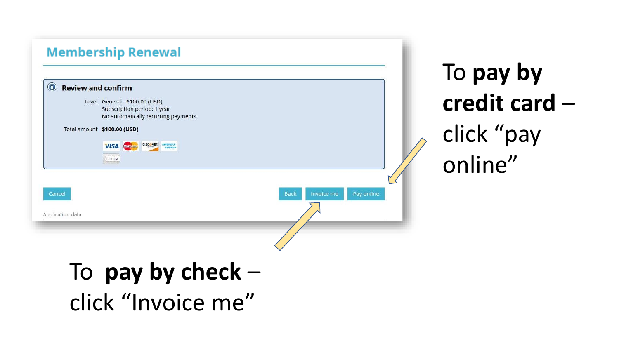

To **pay by credit card** – click "pay online"

## To **pay by check** – click "Invoice me"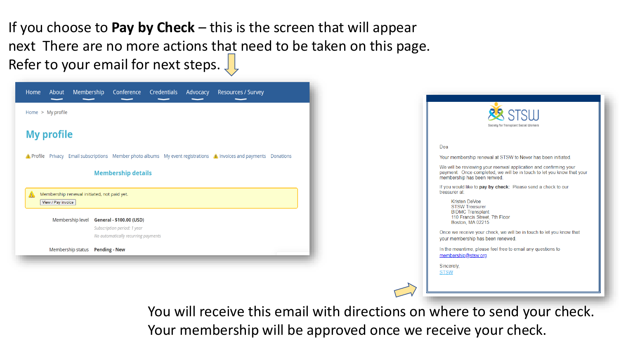If you choose to **Pay by Check** – this is the screen that will appear next There are no more actions that need to be taken on this page. Refer to your email for next steps.  $\downarrow$ 

| Membership Conference Credentials Advocacy Resources / Survey<br>Home<br>About<br>Home > My profile                | <b>RR STSIII</b>                                                                                                                                                           |
|--------------------------------------------------------------------------------------------------------------------|----------------------------------------------------------------------------------------------------------------------------------------------------------------------------|
| <b>My profile</b>                                                                                                  | Society for Transplant Social Workers<br>Dea                                                                                                                               |
| A Profile Privacy Email subscriptions Member photo albums My event registrations A Invoices and payments Donations | Your membership renewal at STSW to Never has been initiated.                                                                                                               |
| <b>Membership details</b>                                                                                          | We will be reviewing your reenwal application and confirming your<br>payment. Once completed, we will be in touch to let you know that your<br>membership has been renwed. |
| Membership renewal initiated, not paid yet.<br>View / Pay invoice                                                  | If you would like to pay by check: Please send a check to our<br>treasurer at:<br><b>Kristen DeVoe</b><br><b>STSW Treasurer</b>                                            |
| Membership level General - \$100.00 (USD)<br>Subscription period: 1 year                                           | <b>BIDMC Transplant</b><br>110 Francis Street. 7th Floor<br>Boston, MA 02215                                                                                               |
| No automatically recurring payments                                                                                | Once we receive your check, we will be in touch to let you know that<br>your membership has been renewed.                                                                  |
| Membership status  Pending - New                                                                                   | In the meantime, please feel free to email any questions to<br>membership@stsw.org.                                                                                        |
|                                                                                                                    | Sincerely.<br><b>STSW</b>                                                                                                                                                  |
|                                                                                                                    |                                                                                                                                                                            |

You will receive this email with directions on where to send your check. Your membership will be approved once we receive your check.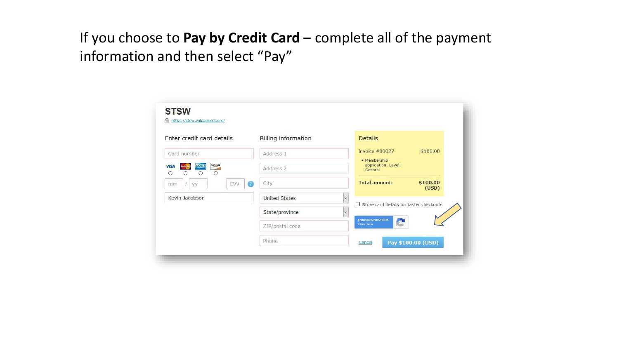## If you choose to **Pay by Credit Card** – complete all of the payment information and then select "Pay"

| Enter credit card details                                             | <b>Billing information</b> | <b>Details</b>                                                 |
|-----------------------------------------------------------------------|----------------------------|----------------------------------------------------------------|
| Card number                                                           | Address 1                  | Invoice $\#00027$<br>\$100.00                                  |
| DISC VER<br>AMEX<br><b>VISA</b><br>$\circ$<br>$\circ$<br>Ο<br>$\circ$ | Address 2                  | • Membership<br>application. Level:<br>General                 |
| <b>CVV</b><br>yy<br>mm                                                | City<br>$\bullet$          | <b>Total amount:</b><br>\$100.00<br>(USD)                      |
| Kevin Jacobson                                                        | <b>United States</b>       | $\checkmark$<br>$\Box$ Store card details for faster checkouts |
|                                                                       | State/province             | $\checkmark$                                                   |
|                                                                       | ZIP/postal code            | protected by reCAPTCHA<br>C<br>Privacy - Terms                 |
|                                                                       | Phone                      | Pay \$100.00 (USD)<br>Cancel                                   |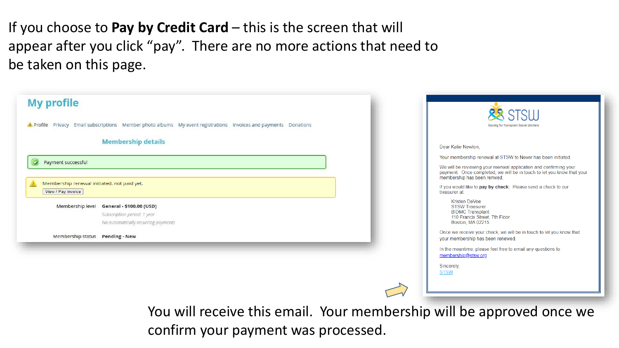If you choose to **Pay by Credit Card** – this is the screen that will appear after you click "pay". There are no more actions that need to be taken on this page.

| <b>My profile</b><br>Profile Privacy Email subscriptions Member photo albums My event registrations Invoices and payments Donations | Society for Transplant Social Workers                                                                                                                                                                                                      |
|-------------------------------------------------------------------------------------------------------------------------------------|--------------------------------------------------------------------------------------------------------------------------------------------------------------------------------------------------------------------------------------------|
| <b>Membership details</b>                                                                                                           | Dear Katie Newton,                                                                                                                                                                                                                         |
| $\odot$<br>Payment successful                                                                                                       | Your membership renewal at STSW to Never has been initiated.<br>We will be reviewing your reenwal application and confirming your<br>payment. Once completed, we will be in touch to let you know that your<br>membership has been renwed. |
| Membership renewal initiated, not paid yet.<br>A<br>View / Pay invoice                                                              | If you would like to pay by check: Please send a check to our<br>treasurer at:                                                                                                                                                             |
| General - \$100.00 (USD)<br>Membership level<br>Subscription period: 1 year<br>No automatically recurring payments                  | <b>Kristen DeVoe</b><br><b>STSW Treasurer</b><br><b>BIDMC</b> Transplant<br>110 Francis Street. 7th Floor<br>Boston, MA 02215                                                                                                              |
| Membership status  Pending - New                                                                                                    | Once we receive your check, we will be in touch to let you know that<br>your membership has been renewed.                                                                                                                                  |
|                                                                                                                                     | In the meantime, please feel free to email any questions to<br>membership@stsw.org.                                                                                                                                                        |
|                                                                                                                                     | Sincerely,<br><b>STSW</b>                                                                                                                                                                                                                  |
|                                                                                                                                     |                                                                                                                                                                                                                                            |

You will receive this email. Your membership will be approved once we confirm your payment was processed.